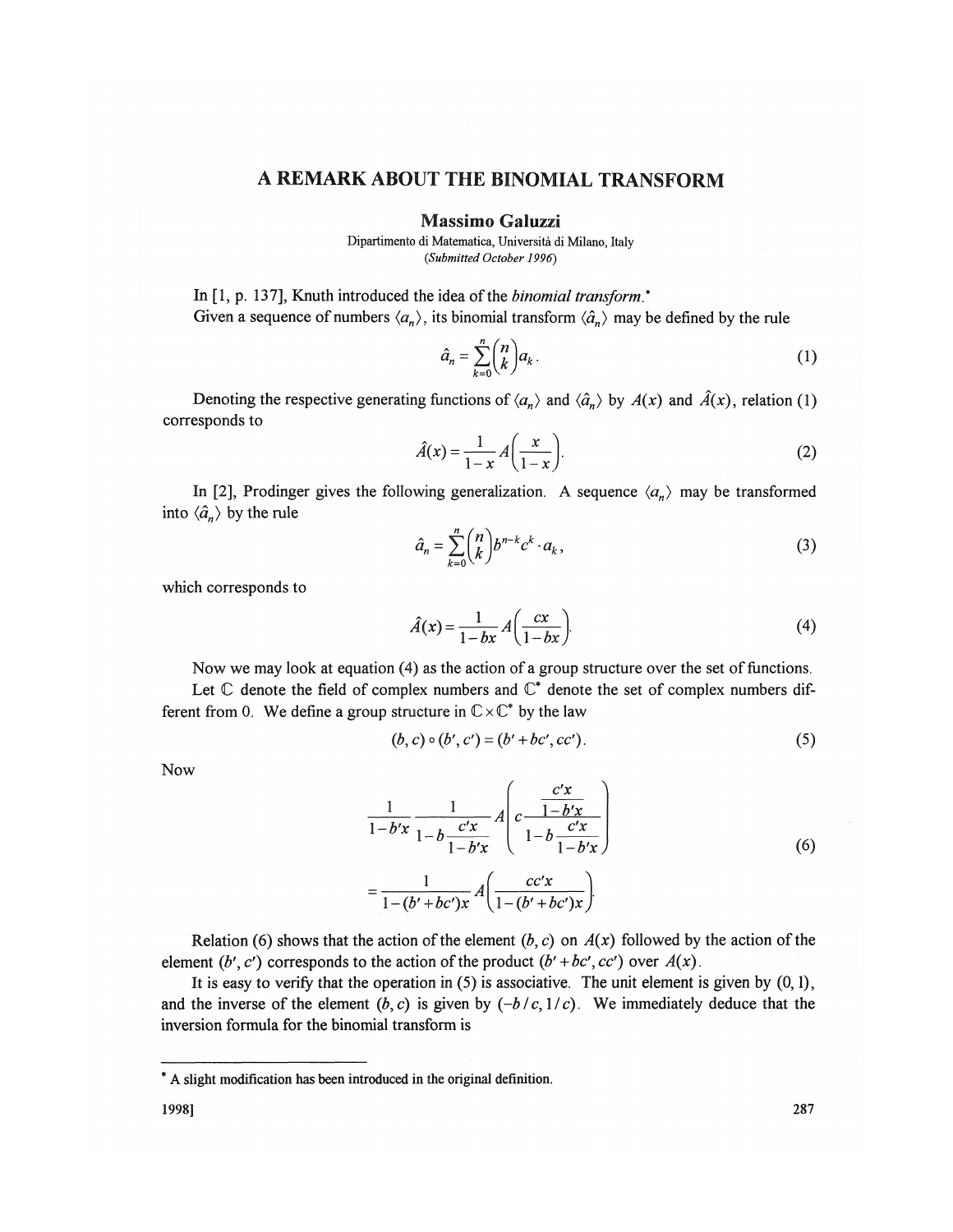## A REMARK ABOUT THE BINOMIAL TRANSFORM

Massimo **Galuzzi** 

Dipartimento di Matematica, Universita di Milano, Italy *(Submitted October 1996)* 

In [1, p. 137], Knuth introduced the idea of the *binomial transform\**  Given a sequence of numbers  $\langle a_n \rangle$ , its binomial transform  $\langle \hat{a}_n \rangle$  may be defined by the rule

$$
\hat{a}_n = \sum_{k=0}^n \binom{n}{k} a_k \tag{1}
$$

Denoting the respective generating functions of  $\langle a_n \rangle$  and  $\langle \hat{a}_n \rangle$  by  $A(x)$  and  $\hat{A}(x)$ , relation (1) corresponds to

$$
\hat{A}(x) = \frac{1}{1-x} A\left(\frac{x}{1-x}\right).
$$
 (2)

In [2], Prodinger gives the following generalization. A sequence  $\langle a_n \rangle$  may be transformed into  $\langle \hat{a}_n \rangle$  by the rule

$$
\hat{a}_n = \sum_{k=0}^n \binom{n}{k} b^{n-k} c^k \cdot a_k,\tag{3}
$$

which corresponds to

$$
\hat{A}(x) = \frac{1}{1 - bx} A\left(\frac{cx}{1 - bx}\right).
$$
 (4)

Now we may look at equation (4) as the action of a group structure over the set of functions. Let  $\mathbb C$  denote the field of complex numbers and  $\mathbb C^*$  denote the set of complex numbers different from 0. We define a group structure in  $\mathbb{C}\times \mathbb{C}^*$  by the law

$$
(b, c) \circ (b', c') = (b' + bc', cc').
$$
 (5)

Now

$$
\frac{1}{1-b'x} \frac{1}{1-b'x} A \left( c \frac{c'x}{1-b'x} \right)
$$
\n
$$
= \frac{1}{1-(b'+bc')x} A \left( \frac{cc'x}{1-(b'+bc')x} \right)
$$
\n(6)

Relation (6) shows that the action of the element  $(b, c)$  on  $A(x)$  followed by the action of the element *(b', c')* corresponds to the action of the product  $(b' + bc', cc')$  over  $A(x)$ .

It is easy to verify that the operation in  $(5)$  is associative. The unit element is given by  $(0,1)$ , and the inverse of the element  $(b, c)$  is given by  $(-b/c, 1/c)$ . We immediately deduce that the inversion formula for the binomial transform is

<sup>\*</sup> A slight modification has been introduced in the original definition.